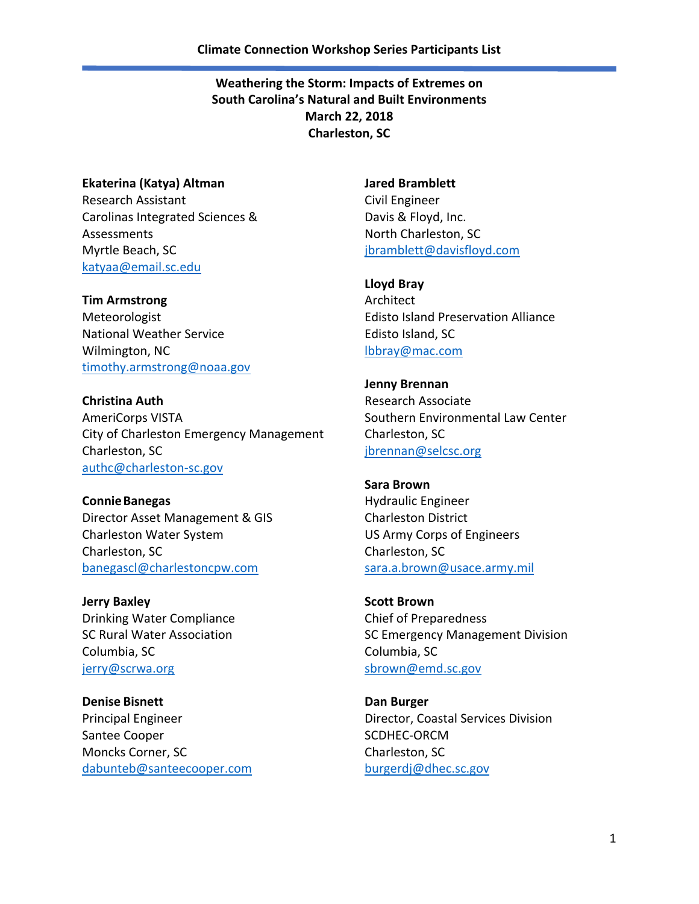## **Ekaterina (Katya) Altman**

Research Assistant Carolinas Integrated Sciences & Assessments Myrtle Beach, SC [katyaa@email.sc.edu](mailto:katyaa@email.sc.edu)

**Tim Armstrong** Meteorologist National Weather Service Wilmington, NC [timothy.armstrong@noaa.gov](mailto:timothy.armstrong@noaa.gov)

**Christina Auth** AmeriCorps VISTA City of Charleston Emergency Management Charleston, SC [authc@charleston-sc.gov](mailto:authc@charleston-sc.gov)

**ConnieBanegas** Director Asset Management & GIS Charleston Water System Charleston, SC [banegascl@charlestoncpw.com](mailto:banegascl@charlestoncpw.com)

**Jerry Baxley** Drinking Water Compliance SC Rural Water Association Columbia, SC [jerry@scrwa.org](mailto:jerry@scrwa.org)

**Denise Bisnett** Principal Engineer Santee Cooper Moncks Corner, SC [dabunteb@santeecooper.com](mailto:dabunteb@santeecooper.com) **Jared Bramblett** Civil Engineer Davis & Floyd, Inc. North Charleston, SC [jbramblett@davisfloyd.com](mailto:jbramblett@davisfloyd.com)

**Lloyd Bray** Architect Edisto Island Preservation Alliance Edisto Island, SC [lbbray@mac.com](mailto:lbbray@mac.com)

**Jenny Brennan** Research Associate Southern Environmental Law Center Charleston, SC [jbrennan@selcsc.org](mailto:jbrennan@selcsc.org)

**Sara Brown** Hydraulic Engineer Charleston District US Army Corps of Engineers Charleston, SC [sara.a.brown@usace.army.mil](mailto:sara.a.brown@usace.army.mil)

**Scott Brown** Chief of Preparedness SC Emergency Management Division Columbia, SC [sbrown@emd.sc.gov](mailto:sbrown@emd.sc.gov)

**Dan Burger** Director, Coastal Services Division SCDHEC-ORCM Charleston, SC [burgerdj@dhec.sc.gov](mailto:burgerdj@dhec.sc.gov)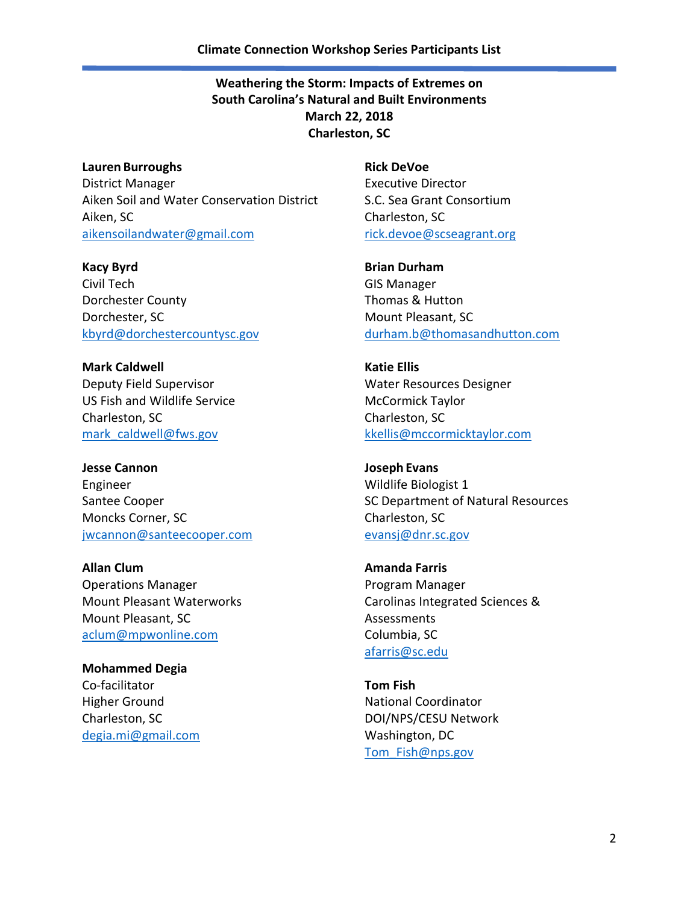**Lauren Burroughs** District Manager Aiken Soil and Water Conservation District Aiken, SC [aikensoilandwater@gmail.com](mailto:aikensoilandwater@gmail.com)

**Kacy Byrd** Civil Tech Dorchester County Dorchester, SC [kbyrd@dorchestercountysc.gov](mailto:kbyrd@dorchestercountysc.gov)

**Mark Caldwell** Deputy Field Supervisor US Fish and Wildlife Service Charleston, SC [mark\\_caldwell@fws.gov](mailto:mark_caldwell@fws.gov)

**Jesse Cannon** Engineer Santee Cooper Moncks Corner, SC [jwcannon@santeecooper.com](mailto:jwcannon@santeecooper.com)

**Allan Clum** Operations Manager Mount Pleasant Waterworks Mount Pleasant, SC [aclum@mpwonline.com](mailto:aclum@mpwonline.com)

**Mohammed Degia** Co-facilitator Higher Ground Charleston, SC [degia.mi@gmail.com](mailto:degia.mi@gmail.com) **Rick DeVoe** Executive Director S.C. Sea Grant Consortium Charleston, SC [rick.devoe@scseagrant.org](mailto:rick.devoe@scseagrant.org)

**Brian Durham** GIS Manager Thomas & Hutton Mount Pleasant, SC [durham.b@thomasandhutton.com](mailto:durham.b@thomasandhutton.com)

**Katie Ellis** Water Resources Designer McCormick Taylor Charleston, SC [kkellis@mccormicktaylor.com](mailto:kkellis@mccormicktaylor.com)

**Joseph Evans** Wildlife Biologist 1 SC Department of Natural Resources Charleston, SC [evansj@dnr.sc.gov](mailto:evansj@dnr.sc.gov)

**Amanda Farris** Program Manager Carolinas Integrated Sciences & Assessments Columbia, SC [afarris@sc.edu](mailto:afarris@sc.edu)

**Tom Fish** National Coordinator DOI/NPS/CESU Network Washington, DC [Tom\\_Fish@nps.gov](mailto:Tom_Fish@nps.gov)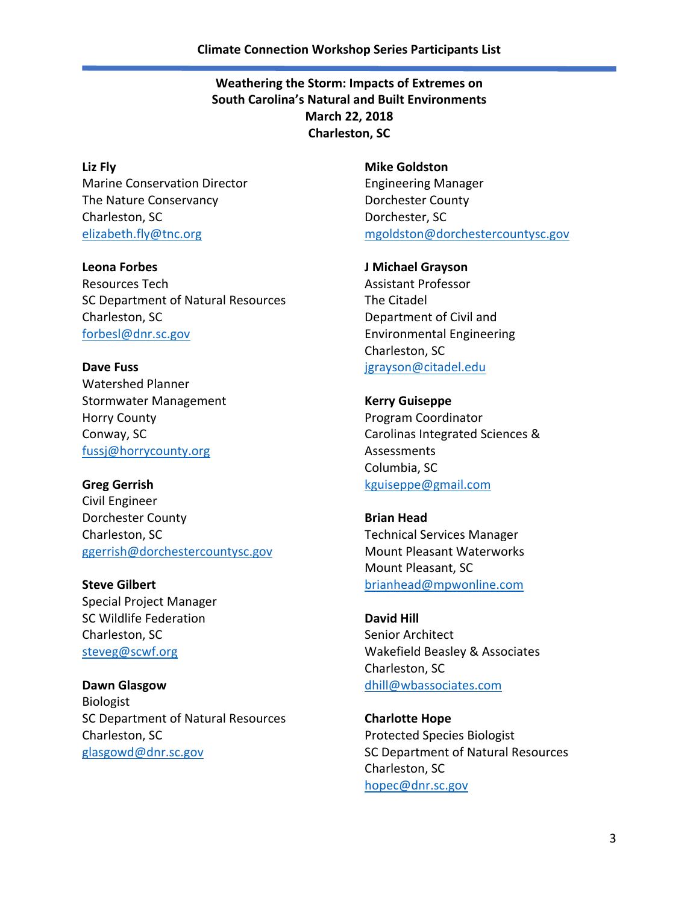**Liz Fly** Marine Conservation Director The Nature Conservancy Charleston, SC [elizabeth.fly@tnc.org](mailto:elizabeth.fly@tnc.org)

**Leona Forbes** Resources Tech SC Department of Natural Resources Charleston, SC [forbesl@dnr.sc.gov](mailto:forbesl@dnr.sc.gov)

**Dave Fuss** Watershed Planner Stormwater Management Horry County Conway, SC [fussj@horrycounty.org](mailto:fussj@horrycounty.org)

**Greg Gerrish** Civil Engineer Dorchester County Charleston, SC [ggerrish@dorchestercountysc.gov](mailto:ggerrish@dorchestercountysc.gov)

**Steve Gilbert** Special Project Manager SC Wildlife Federation Charleston, SC [steveg@scwf.org](mailto:steveg@scwf.org)

**Dawn Glasgow** Biologist SC Department of Natural Resources Charleston, SC [glasgowd@dnr.sc.gov](mailto:glasgowd@dnr.sc.gov)

**Mike Goldston** Engineering Manager Dorchester County Dorchester, SC [mgoldston@dorchestercountysc.gov](mailto:mgoldston@dorchestercountysc.gov)

**J Michael Grayson** Assistant Professor The Citadel Department of Civil and Environmental Engineering Charleston, SC [jgrayson@citadel.edu](mailto:jgrayson@citadel.edu)

**Kerry Guiseppe** Program Coordinator Carolinas Integrated Sciences & Assessments Columbia, SC [kguiseppe@gmail.com](mailto:kguiseppe@gmail.com)

**Brian Head** Technical Services Manager Mount Pleasant Waterworks Mount Pleasant, SC [brianhead@mpwonline.com](mailto:brianhead@mpwonline.com)

**David Hill** Senior Architect Wakefield Beasley & Associates Charleston, SC [dhill@wbassociates.com](mailto:dhill@wbassociates.com)

**Charlotte Hope** Protected Species Biologist SC Department of Natural Resources Charleston, SC [hopec@dnr.sc.gov](mailto:hopec@dnr.sc.gov)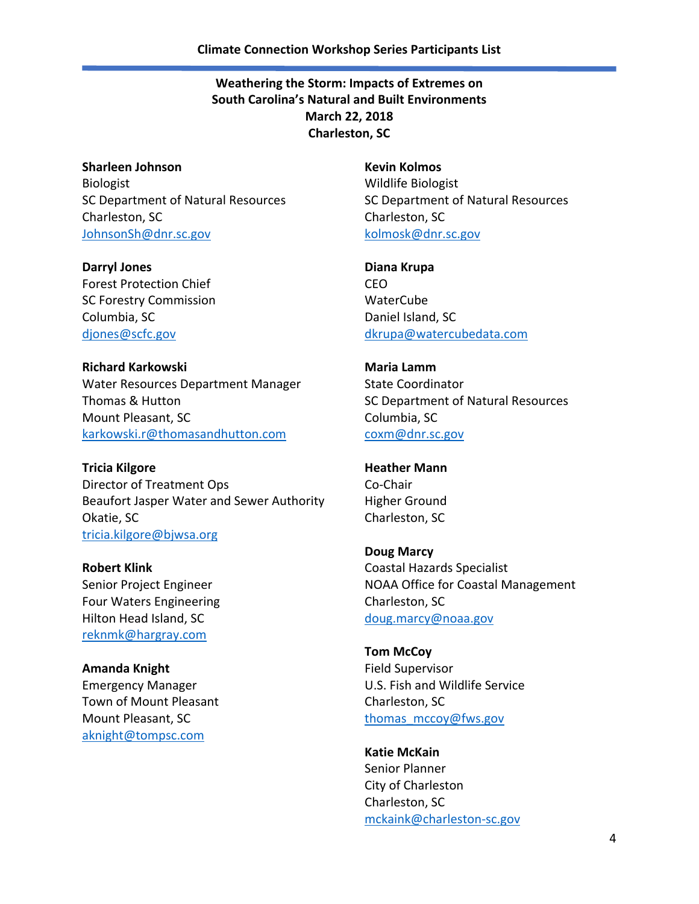**Sharleen Johnson** Biologist SC Department of Natural Resources Charleston, SC [JohnsonSh@dnr.sc.gov](mailto:JohnsonSh@dnr.sc.gov)

**Darryl Jones** Forest Protection Chief SC Forestry Commission Columbia, SC [djones@scfc.gov](mailto:djones@scfc.gov)

**Richard Karkowski** Water Resources Department Manager Thomas & Hutton Mount Pleasant, SC [karkowski.r@thomasandhutton.com](mailto:karkowski.r@thomasandhutton.com)

**Tricia Kilgore** Director of Treatment Ops Beaufort Jasper Water and Sewer Authority Okatie, SC [tricia.kilgore@bjwsa.org](mailto:tricia.kilgore@bjwsa.org)

**Robert Klink** Senior Project Engineer Four Waters Engineering Hilton Head Island, SC [reknmk@hargray.com](mailto:reknmk@hargray.com)

**Amanda Knight** Emergency Manager Town of Mount Pleasant Mount Pleasant, SC [aknight@tompsc.com](mailto:aknight@tompsc.com)

**Kevin Kolmos** Wildlife Biologist SC Department of Natural Resources Charleston, SC [kolmosk@dnr.sc.gov](mailto:kolmosk@dnr.sc.gov)

**Diana Krupa** CEO **WaterCube** Daniel Island, SC [dkrupa@watercubedata.com](mailto:dkrupa@watercubedata.com)

**Maria Lamm** State Coordinator SC Department of Natural Resources Columbia, SC [coxm@dnr.sc.gov](mailto:coxm@dnr.sc.gov)

**Heather Mann** Co-Chair Higher Ground Charleston, SC

**Doug Marcy** Coastal Hazards Specialist NOAA Office for Coastal Management Charleston, SC [doug.marcy@noaa.gov](mailto:doug.marcy@noaa.gov)

**Tom McCoy** Field Supervisor U.S. Fish and Wildlife Service Charleston, SC [thomas\\_mccoy@fws.gov](mailto:thomas_mccoy@fws.gov)

**Katie McKain** Senior Planner City of Charleston Charleston, SC [mckaink@charleston-sc.gov](mailto:mckaink@charleston-sc.gov)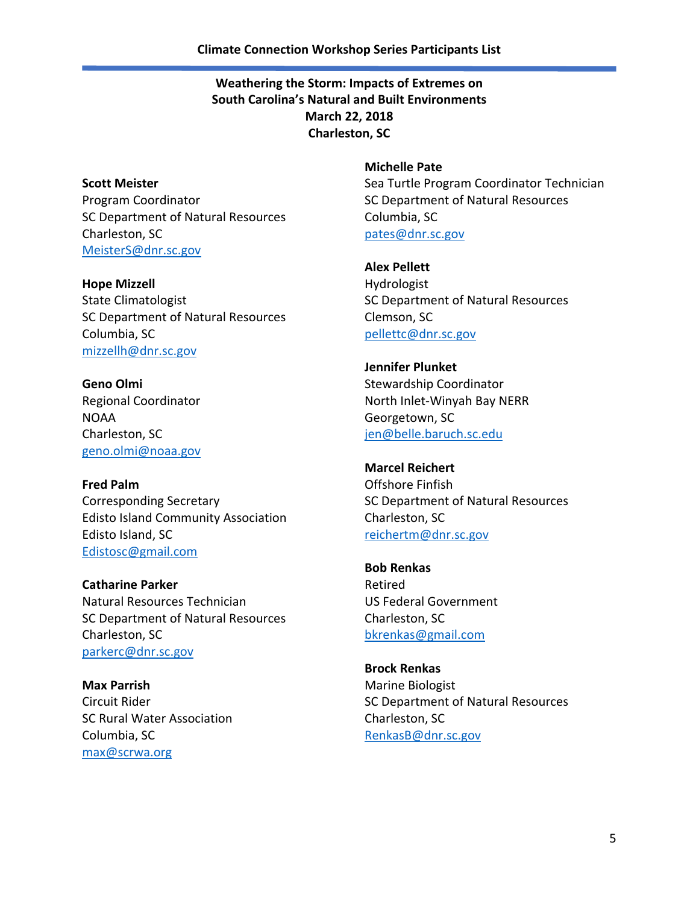**Scott Meister** Program Coordinator SC Department of Natural Resources Charleston, SC [MeisterS@dnr.sc.gov](mailto:MeisterS@dnr.sc.gov)

**Hope Mizzell** State Climatologist SC Department of Natural Resources Columbia, SC [mizzellh@dnr.sc.gov](mailto:mizzellh@dnr.sc.gov)

**Geno Olmi** Regional Coordinator NOAA Charleston, SC [geno.olmi@noaa.gov](mailto:geno.olmi@noaa.gov)

**Fred Palm** Corresponding Secretary Edisto Island Community Association Edisto Island, SC [Edistosc@gmail.com](mailto:Edistosc@gmail.com)

**Catharine Parker** Natural Resources Technician SC Department of Natural Resources Charleston, SC [parkerc@dnr.sc.gov](mailto:parkerc@dnr.sc.gov)

**Max Parrish** Circuit Rider SC Rural Water Association Columbia, SC [max@scrwa.org](mailto:max@scrwa.org)

**Michelle Pate**

Sea Turtle Program Coordinator Technician SC Department of Natural Resources Columbia, SC [pates@dnr.sc.gov](mailto:pates@dnr.sc.gov)

**Alex Pellett** Hydrologist SC Department of Natural Resources Clemson, SC [pellettc@dnr.sc.gov](mailto:pellettc@dnr.sc.gov)

**Jennifer Plunket** Stewardship Coordinator North Inlet-Winyah Bay NERR Georgetown, SC [jen@belle.baruch.sc.edu](mailto:jen@belle.baruch.sc.edu)

**Marcel Reichert** Offshore Finfish SC Department of Natural Resources Charleston, SC [reichertm@dnr.sc.gov](mailto:reichertm@dnr.sc.gov)

**Bob Renkas** Retired US Federal Government Charleston, SC [bkrenkas@gmail.com](mailto:bkrenkas@gmail.com)

**Brock Renkas** Marine Biologist SC Department of Natural Resources Charleston, SC [RenkasB@dnr.sc.gov](mailto:RenkasB@dnr.sc.gov)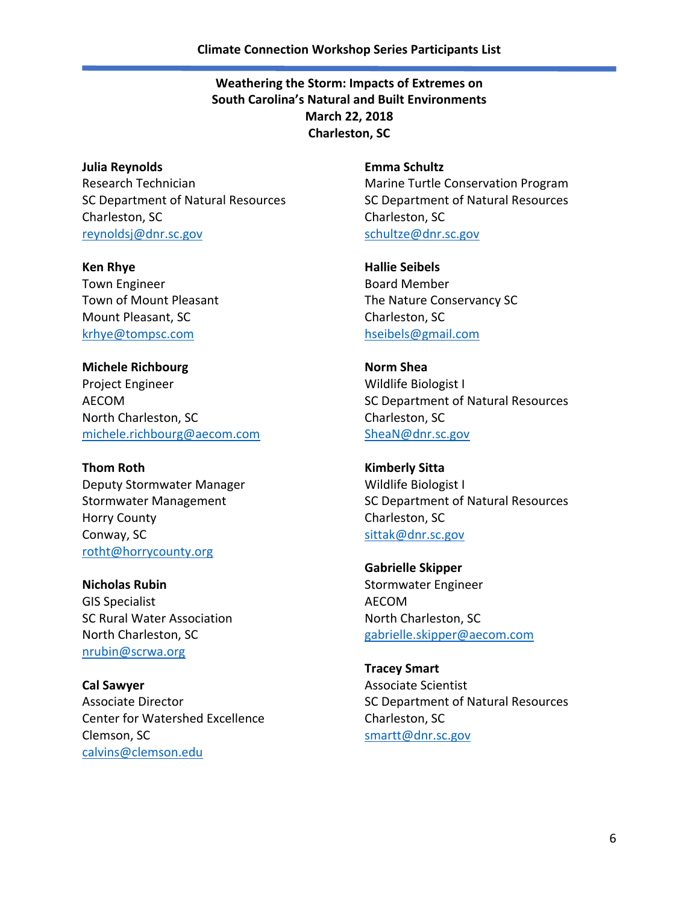**Julia Reynolds** Research Technician SC Department of Natural Resources Charleston, SC [reynoldsj@dnr.sc.gov](mailto:reynoldsj@dnr.sc.gov)

**Ken Rhye** Town Engineer Town of Mount Pleasant Mount Pleasant, SC [krhye@tompsc.com](mailto:krhye@tompsc.com)

**Michele Richbourg** Project Engineer AECOM North Charleston, SC [michele.richbourg@aecom.com](mailto:michele.richbourg@aecom.com)

**Thom Roth** Deputy Stormwater Manager Stormwater Management Horry County Conway, SC [rotht@horrycounty.org](mailto:rotht@horrycounty.org)

**Nicholas Rubin** GIS Specialist SC Rural Water Association North Charleston, SC [nrubin@scrwa.org](mailto:nrubin@scrwa.org)

**Cal Sawyer** Associate Director Center for Watershed Excellence Clemson, SC [calvins@clemson.edu](mailto:calvins@clemson.edu)

**Emma Schultz** Marine Turtle Conservation Program SC Department of Natural Resources Charleston, SC [schultze@dnr.sc.gov](mailto:schultze@dnr.sc.gov)

**Hallie Seibels** Board Member The Nature Conservancy SC Charleston, SC [hseibels@gmail.com](mailto:hseibels@gmail.com)

**Norm Shea** Wildlife Biologist I SC Department of Natural Resources Charleston, SC [SheaN@dnr.sc.gov](mailto:SheaN@dnr.sc.gov)

**Kimberly Sitta** Wildlife Biologist I SC Department of Natural Resources Charleston, SC [sittak@dnr.sc.gov](mailto:sittak@dnr.sc.gov)

**Gabrielle Skipper** Stormwater Engineer AECOM North Charleston, SC [gabrielle.skipper@aecom.com](mailto:gabrielle.skipper@aecom.com)

**Tracey Smart** Associate Scientist SC Department of Natural Resources Charleston, SC [smartt@dnr.sc.gov](mailto:smartt@dnr.sc.gov)